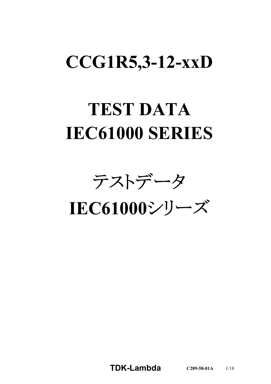# **CCG1R5,3-12-xxD**

# **TEST DATA IEC61000 SERIES**

テストデータ

**IEC61000**シリーズ

**TDK-Lambda C289-58-01A** 1/18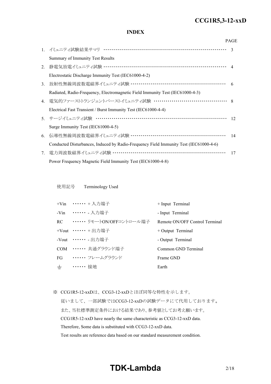#### *RWS 50B-600B Series* **CCG1R5,3-12-xxD**

# **INDEX**

|    |                                                                                       | <b>PAGE</b>   |
|----|---------------------------------------------------------------------------------------|---------------|
|    | 1. イミュニティ試験結果サマリ ……………………………………………………………                                              | $\mathcal{R}$ |
|    | Summary of Immunity Test Results                                                      |               |
| 2. | 静電気放電イミュニティ試験 …………………………………………………………… 4                                               |               |
|    | Electrostatic Discharge Immunity Test (IEC61000-4-2)                                  |               |
| 3. | 放射性無線周波数電磁界イミュニティ試験 ………………………………………………… 6                                             |               |
|    | Radiated, Radio-Frequency, Electromagnetic Field Immunity Test (IEC61000-4-3)         |               |
|    | 4. 電気的ファーストトランジェントバーストイミュニティ試験 …………………………………… 8                                       |               |
|    | Electrical Fast Transient / Burst Immunity Test (IEC61000-4-4)                        |               |
|    | 5. サージイミュニティ試験 ………………………………………………………………                                               | 12            |
|    | Surge Immunity Test (IEC61000-4-5)                                                    |               |
| 6. | 伝導性無線周波数電磁界イミュニティ試験 ………………………………………………                                                | 14            |
|    | Conducted Disturbances, Induced by Radio-Frequency Field Immunity Test (IEC61000-4-6) |               |
| 7. | 電力周波数磁界イミュニティ試験 ………………………………………………………                                                 | 17            |
|    | Power Frequency Magnetic Field Immunity Test (IEC61000-4-8)                           |               |

使用記号 Terminology Used

|       | +Vin …… + 入力端子                | $+$ Input Terminal             |
|-------|-------------------------------|--------------------------------|
|       | -Vin …… 入力端子                  | - Input Terminal               |
|       | RC ••••••• リモートON/OFFコントロール端子 | Remote ON/OFF Control Terminal |
|       | +Vout $\cdots \cdots$ + 出力端子  | $+$ Output Terminal            |
|       | -Vout ……. 出力端子                | - Output Terminal              |
|       | COM …… 共通グラウンド端子              | Common GND Terminal            |
|       | FG …… フレームグラウンド               | Frame GND                      |
| $\pm$ | •••••• 接地                     | Earth                          |

※ CCG1R5-12-xxDは、CCG3-12-xxDとほぼ同等な特性を示します。

従いまして、一部試験ではCCG3-12-xxDの試験データにて代用しております。 また、当社標準測定条件における結果であり、参考値としてお考え願います。 CCG1R5-12-xxD have nearly the same characteristic as CCG3-12-xxD data. Therefore, Some data is substituted with CCG3-12-xxD data. Test results are reference data based on our standard measurement condition.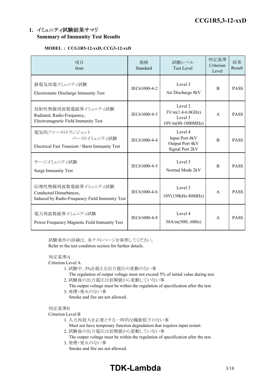# **1.** イミュニティ試験結果サマリ **Summary of Immunity Test Results**

# **MODEL : CCG1R5-12-xxD, CCG3-12-xxD**

| 項目<br>Item                                                                                       | 規格<br>Standard | 試験レベル<br><b>Test Level</b>                                      | 判定基準<br>Criterion<br>Level | 結果<br>Result |
|--------------------------------------------------------------------------------------------------|----------------|-----------------------------------------------------------------|----------------------------|--------------|
| 静電気放電イミュニティ試験<br>Electrostatic Discharge Immunity Test                                           | IEC61000-4-2   | Level 3<br>Air Discharge 8kV                                    | <sub>B</sub>               | <b>PASS</b>  |
| 放射性無線周波数電磁界イミュニティ試験<br>Radiated, Radio-Frequency,<br>Electromagnetic Field Immunity Test         | IEC61000-4-3   | Level 2<br>$3V/m(1.4-6.0GHz)$<br>Level 3<br>$10V/m(80-1000MHz)$ | $\mathsf{A}$               | <b>PASS</b>  |
| 電気的ファーストトランジェント<br>バーストイミュニティ試験<br>Electrical Fast Transient / Burst Immunity Test               | IEC61000-4-4   | Level 4<br>Input Port 4kV<br>Output Port 4kV<br>Signal Port 2kV | B                          | <b>PASS</b>  |
| サージイミュニティ試験<br><b>Surge Immunity Test</b>                                                        | IEC61000-4-5   | Level 3<br>Normal Mode 2kV                                      | <sub>B</sub>               | <b>PASS</b>  |
| 伝導性無線周波数電磁界イミュニティ試験<br>Conducted Disturbances,<br>Induced by Radio-Frequency Field Immunity Test | IEC61000-4-6   | Level 3<br>10V(150kHz-80MHz)                                    | $\mathsf{A}$               | <b>PASS</b>  |
| 電力周波数磁界イミュニティ試験<br>Power Frequency Magnetic Field Immunity Test                                  | IEC61000-4-8   | Level 4<br>30A/m(50H, 60Hz)                                     | $\mathsf{A}$               | <b>PASS</b>  |

試験条件の詳細は、各テストページを参照してください。 Refer to the test condition section for further details.

# 判定基準A

Criterion Level A

- 1. 試験中、5%を超える出力電圧の変動のない事
	- The regulation of output voltage must not exceed 5% of initial value during test.
- 2. 試験後の出力電圧は初期値から変動していない事
	- The output voltage must be within the regulation of specification after the test.
- 3. 発煙・発火のない事 Smoke and fire are not allowed.

## 判定基準B

## Criterion Level B

- 1. 入力再投入を必要とする一時的な機能低下のない事
	- Must not have temporary function degradation that requires input restart.
- 2. 試験後の出力電圧は初期値から変動していない事
- The output voltage must be within the regulation of specification after the test. 3. 発煙・発火のない事
	- Smoke and fire are not allowed.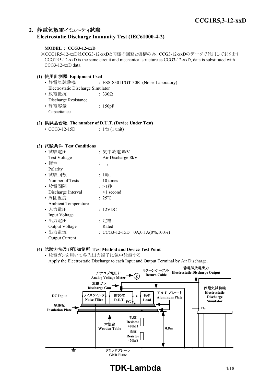# **2.** 静電気放電イミュニティ試験 **Electrostatic Discharge Immunity Test (IEC61000-4-2)**

# **MODEL : CCG3-12-xxD**

※CCG1R5-12-xxDはCCG3-12-xxDと同様の回路と機構の為、CCG3-12-xxDのデータで代用しております CCG1R5-12-xxD is the same circuit and mechanical structure as CCG3-12-xxD, data is substituted with CCG3-12-xxD data.

# **(1)** 使用計測器 **Equipment Used** • 静電気試験機 : ESS-S3011/GT-30R (Noise Laboratory) Electrostatic Discharge Simulator • 放電抵抗 7330Ω Discharge Resistance • 静電容量 | 150pF Capacitance

# **(2)** 供試品台数 **The number of D.U.T. (Device Under Test)**

| • $CCG3-12-15D$ | : $1 \oplus (1 \text{ unit})$ |
|-----------------|-------------------------------|
|-----------------|-------------------------------|

## **(3)** 試験条件 **Test Conditions**

| • 試験電圧                     | : 気中放電 8kV                           |
|----------------------------|--------------------------------------|
| Test Voltage               | Air Discharge 8kV                    |
| • 極性                       | $: +,-$                              |
| Polarity                   |                                      |
| • 試験回数                     | : $10 \Box$                          |
| Number of Tests            | 10 times                             |
| • 放電間隔                     | :>1秒                                 |
| Discharge Interval         | $>1$ second                          |
| • 周囲温度                     | $: 25^{\circ}C$                      |
| <b>Ambient Temperature</b> |                                      |
| ・入力電圧                      | : 12VDC                              |
| Input Voltage              |                                      |
| • 出力電圧                     | : 定格                                 |
| Output Voltage             | Rated                                |
| • 出力電流                     | : CCG3-12-15D $0A, 0.1A(0\%, 100\%)$ |
| <b>Output Current</b>      |                                      |

# **(4)** 試験方法及び印加箇所 **Test Method and Device Test Point**

• 放電ガンを用いて各入出力端子に気中放電する Apply the Electrostatic Discharge to each Input and Output Terminal by Air Discharge.



# **TDK-Lambda** 4/18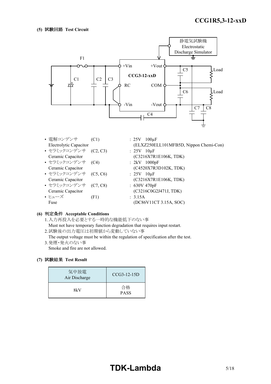

• 電解コンデンサ (C1) : 25V 100µF Electrolytic Capacitor (ELXZ250ELL101MFB5D, Nippon Chemi-Con) • セラミックコンデンサ (C2, C3) : 25V 10μF Ceramic Capacitor (C3216X7R1E106K, TDK) • セラミックコンデンサ (C4) : 2kV 1000pF Ceramic Capacitor (C4520X7R3D102K, TDK) • セラミックコンデンサ (C5, C6) : 25V 10μF Ceramic Capacitor (C3216X7R1E106K, TDK) • セラミックコンデンサ (C7, C8) : 630V 470pF Ceramic Capacitor (C3216C0G2J471J, TDK) • ヒューズ (F1) : 3.15A Fuse (DC86V11CT 3.15A, SOC)

## **(6)** 判定条件 **Acceptable Conditions**

1.入力再投入を必要とする一時的な機能低下のない事 Must not have temporary function degradation that requires input restart. 2.試験後の出力電圧は初期値から変動していない事

The output voltage must be within the regulation of specification after the test. 3.発煙・発火のない事

Smoke and fire are not allowed.

| 気中放電<br>Air Discharge | $CCG3-12-15D$     |
|-----------------------|-------------------|
| 8kV                   | 合格<br><b>PASS</b> |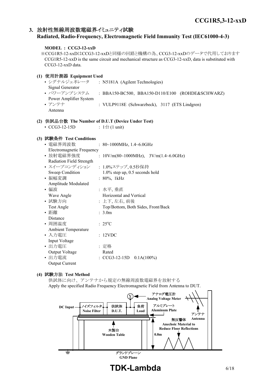# **3.** 放射性無線周波数電磁界イミュニティ試験

# **Radiated, Radio-Frequency, Electromagnetic Field Immunity Test (IEC61000-4-3)**

# **MODEL : CCG3-12-xxD** ※CCG1R5-12-xxDはCCG3-12-xxDと同様の回路と機構の為、CCG3-12-xxDのデータで代用しております CCG1R5-12-xxD is the same circuit and mechanical structure as CCG3-12-xxD, data is substituted with CCG3-12-xxD data. **(1)** 使用計測器 **Equipment Used** • シグナルジェネレータ : N5181A (Agilent Technologies) Signal Generator • パワーアンプシステム : BBA150-BC500, BBA150-D110/E100 (ROHDE&SCHWARZ) Power Amplifier System • アンテナ : VULP9118E (Schwarzbeck), 3117 (ETS Lindgren) Antenna **(2)** 供試品台数 **The Number of D.U.T (Device Under Test)** •  $CCG3-12-15D$  :  $1 \oplus (1 \text{ unit})$ **(3)** 試験条件 **Test Conditions** • 電磁界周波数 : 80~1000MHz, 1.4~6.0GHz Electromagnetic Frequency

| Electromagnetic Frequency  |                                            |
|----------------------------|--------------------------------------------|
| • 放射電磁界強度                  | : $10V/m(80~1000MHz)$ , $3V/m(1.4~6.0GHz)$ |
| Radiation Field Strength   |                                            |
| • スイープコンディション              | : 1.0%ステップ,0.5秒保持                          |
| Sweep Condition            | $1.0\%$ step up, 0.5 seconds hold          |
| • 振幅変調                     | : 80%, 1kHz                                |
| Amplitude Modulated        |                                            |
| ・偏波                        | :水平, 垂直                                    |
| Wave Angle                 | Horizontal and Vertical                    |
| • 試験方向                     | : 上下, 左右, 前後                               |
| Test Angle                 | Top/Bottom, Both Sides, Front/Back         |
| • 距離                       | : 3.0m                                     |
| Distance                   |                                            |
| • 周囲温度                     | $: 25^{\circ}C$                            |
| <b>Ambient Temperature</b> |                                            |
| ・入力電圧                      | : 12VDC                                    |
| Input Voltage              |                                            |
| • 出力電圧                     | : 定格                                       |
| Output Voltage             | Rated                                      |
| • 出力電流                     | : $CCG3-12-15D$ $0.1A(100%)$               |
| <b>Output Current</b>      |                                            |

## **(4)** 試験方法 **Test Method**

供試体に向け、アンテナから規定の無線周波数電磁界を放射する Apply the specified Radio Frequency Electromagnetic Field from Antenna to DUT.

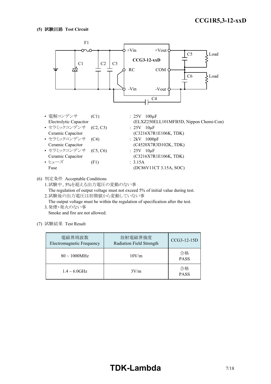# **(5)** 試験回路 **Test Circuit**



(6) 判定条件 Acceptable Conditions

1.試験中、5%を超える出力電圧の変動のない事 The regulation of output voltage must not exceed 5% of initial value during test. 2.試験後の出力電圧は初期値から変動していない事

The output voltage must be within the regulation of specification after the test. 3.発煙・発火のない事

Smoke and fire are not allowed.

| 電磁界周波数<br>Electromagnetic Frequency | 放射電磁界強度<br>Radiation Field Strength | CCG3-12-15D       |
|-------------------------------------|-------------------------------------|-------------------|
| $80 \sim 1000 MHz$                  | 10V/m                               | 合格<br><b>PASS</b> |
| $1.4 \sim 6.0$ GHz                  | 3V/m                                | 合格<br><b>PASS</b> |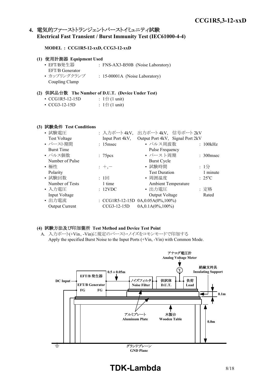# **4.** 電気的ファーストトランジェントバーストイミュニティ試験 **Electrical Fast Transient / Burst Immunity Test (IEC61000-4-4)**

#### **MODEL : CCG1R5-12-xxD, CCG3-12-xxD**

| (1) 使用計測器 Equipment Used |                                   |
|--------------------------|-----------------------------------|
| • EFT/B発生器               | : FNS-AX3-B50B (Noise Laboratory) |
| EFT/B Generator          |                                   |
| • カップリングクランプ             | : 15-00001A (Noise Laboratory)    |
| Coupling Clamp           |                                   |

#### **(2)** 供試品台数 **The Number of D.U.T. (Device Under Test)**

| • $CCG1R5-12-15D$   | : $1 \oplus (1 \text{ unit})$ |
|---------------------|-------------------------------|
| $\cdot$ CCG3-12-15D | : $1 \oplus (1 \text{ unit})$ |

#### **(3)** 試験条件 **Test Conditions**

| • 試験電圧                | : 入力ポート4kV,          | 出力ポート4kV, 信号ポート2kV                      |                 |
|-----------------------|----------------------|-----------------------------------------|-----------------|
| <b>Test Voltage</b>   | Input Port 4kV,      | Output Port 4kV, Signal Port 2kV        |                 |
| • バースト期間              | $: 15$ msec          | • パルス周波数                                | : 100kHz        |
| <b>Burst Time</b>     |                      | Pulse Frequency                         |                 |
| • パルス個数               | : 75 <sub>pres</sub> | • バースト周期                                | $: 300$ msec    |
| Number of Pulse       |                      | <b>Burst Cycle</b>                      |                 |
| • 極性                  | $: +,-$              | • 試験時間                                  | : $1/2$         |
| Polarity              |                      | <b>Test Duration</b>                    | 1 minute        |
| • 試験回数                | : 1回                 | • 周囲温度                                  | $: 25^{\circ}C$ |
| Number of Tests       | 1 time               | <b>Ambient Temperature</b>              |                 |
| • 入力電圧                | : 12VDC              | • 出力電圧                                  | : 定格            |
| Input Voltage         |                      | Output Voltage                          | Rated           |
| • 出力電流                |                      | : CCG1R5-12-15D $0A, 0.05A(0\%, 100\%)$ |                 |
| <b>Output Current</b> | $CCG3-12-15D$        | $0A, 0.1A(0\%, 100\%)$                  |                 |

## **(4)** 試験方法及び印加箇所 **Test Method and Device Test Point**

A. 入力ポート(+Vin、-Vin)に規定のバースト・ノイズをコモンモードで印加する Apply the specified Burst Noise to the Input Ports (+Vin, -Vin) with Common Mode.



**TDK-Lambda** 8/18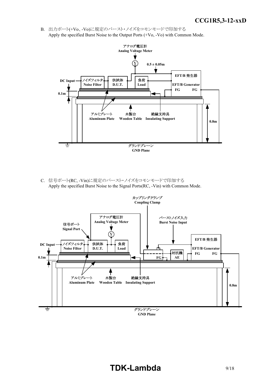B. 出力ポート(+Vo、-Vo)に規定のバースト・ノイズをコモンモードで印加する Apply the specified Burst Noise to the Output Ports (+Vo, -Vo) with Common Mode.



C. 信号ポート(RC, -Vin)に規定のバースト・ノイズをコモンモードで印加する Apply the specified Burst Noise to the Signal Ports(RC, -Vin) with Common Mode.



# **TDK-Lambda** 9/18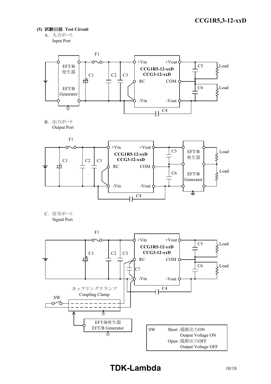- **(5)** 試験回路 **Test Circuit**
	- A. 入力ポート Input Port



B. 出力ポート Output Port



C. 信号ポート Signal Port

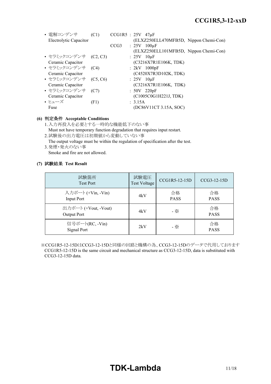| • 電解コンデンサ<br>Electrolytic Capacitor | (C1) |                  | $CCG1R5 : 25V 47\mu F$<br>(ELXZ250ELL470MFB5D, Nippon Chemi-Con) |
|-------------------------------------|------|------------------|------------------------------------------------------------------|
|                                     |      | CCG <sub>3</sub> | : $25V$ 100 $\mu$ F                                              |
|                                     |      |                  | (ELXZ250ELL101MFB5D, Nippon Chemi-Con)                           |
| • セラミックコンデンサ (C2, C3)               |      |                  | $: 25V$ 10 $\mu$ F                                               |
| Ceramic Capacitor                   |      |                  | (C3216X7R1E106K, TDK)                                            |
| • セラミックコンデンサ (C4)                   |      |                  | $: 2kV$ 1000pF                                                   |
| Ceramic Capacitor                   |      |                  | (C4520X7R3D102K, TDK)                                            |
| • セラミックコンデンサ (C5, C6)               |      |                  | $: 25V$ 10 $\mu$ F                                               |
| Ceramic Capacitor                   |      |                  | (C3216X7R1E106K, TDK)                                            |
| • セラミックコンデンサ                        | (C7) |                  | $:50V$ 220pF                                                     |
| Ceramic Capacitor                   |      |                  | (C1005C0G1H221J, TDK)                                            |
| • ヒューズ                              | (F1) |                  | : 3.15A                                                          |
| Fuse                                |      |                  | (DC86V11CT 3.15A, SOC)                                           |

# **(6)** 判定条件 **Acceptable Conditions**

- 1.入力再投入を必要とする一時的な機能低下のない事 Must not have temporary function degradation that requires input restart.
- 2.試験後の出力電圧は初期値から変動していない事
- The output voltage must be within the regulation of specification after the test. 3.発煙・発火のない事 Smoke and fire are not allowed.

# **(7)** 試験結果 **Test Result**

| 試験箇所<br><b>Test Port</b>                | 試験電圧<br>Test Voltage | CCG1R5-12-15D     | $CCG3-12-15D$     |
|-----------------------------------------|----------------------|-------------------|-------------------|
| 入力ポート (+Vin, -Vin)<br><b>Input Port</b> | 4kV                  | 合格<br><b>PASS</b> | 合格<br><b>PASS</b> |
| 出力ポート (+Vout, -Vout)<br>Output Port     | 4kV                  | - ※               | 合格<br><b>PASS</b> |
| 信号ポート(RC,-Vin)<br>Signal Port           | 2kV                  | - ※               | 合格<br><b>PASS</b> |

※CCG1R5-12-15DはCCG3-12-15Dと同様の回路と機構の為、CCG3-12-15Dのデータで代用しております CCG1R5-12-15D is the same circuit and mechanical structure as CCG3-12-15D, data is substituted with CCG3-12-15D data.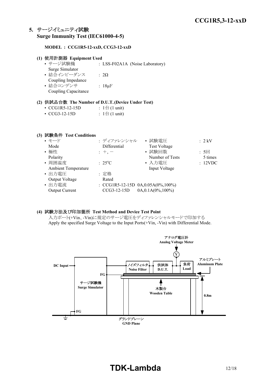# **5.** サージイミュニティ試験 **Surge Immunity Test (IEC61000-4-5)**

# **MODEL : CCG1R5-12-xxD, CCG3-12-xxD**

| (1) 使用計測器 Equipment Used |                                 |
|--------------------------|---------------------------------|
| • サージ試験機                 | : LSS-F02A1A (Noise Laboratory) |
| Surge Simulator          |                                 |
| • 結合インピーダンス              | $\cdot$ 20                      |
| Coupling Impedance       |                                 |
| • 結合コンデンサ                | : $18 \mu F$                    |
| Coupling Capacitance     |                                 |

#### **(2)** 供試品台数 **The Number of D.U.T.(Device Under Test)**

| $\cdot$ CCG1R5-12-15D | : $1 \oplus (1 \text{ unit})$ |
|-----------------------|-------------------------------|
|                       |                               |

| $\cdot$ CCG3-12-15D |  |  |  | : $1 \oplus (1 \text{ unit})$ |
|---------------------|--|--|--|-------------------------------|
|---------------------|--|--|--|-------------------------------|

# **(3)** 試験条件 **Test Conditions**

|                 | • 試験電圧                 | $: 2$ kV                                         |
|-----------------|------------------------|--------------------------------------------------|
| Differential    | <b>Test Voltage</b>    |                                                  |
| $: +, -$        | • 試験回数                 | : 5回                                             |
|                 | Number of Tests        | 5 times                                          |
| $: 25^{\circ}C$ | • 入力電圧                 | : 12VDC                                          |
|                 | Input Voltage          |                                                  |
| : 定格            |                        |                                                  |
| Rated           |                        |                                                  |
|                 |                        |                                                  |
| CCG3-12-15D     | $0A, 0.1A(0\%, 100\%)$ |                                                  |
|                 |                        | : ディファレンシャル<br>: CCG1R5-12-15D 0A,0.05A(0%,100%) |

# **(4)** 試験方法及び印加箇所 **Test Method and Device Test Point**

入力ポート(+Vin、-Vin)に規定のサージ電圧をディファレンシャルモードで印加する Apply the specified Surge Voltage to the Input Ports(+Vin, -Vin) with Differential Mode.

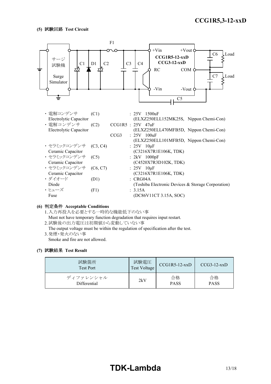# **(5)** 試験回路 **Test Circuit**



#### **(6)** 判定条件 **Acceptable Conditions**

1.入力再投入を必要とする一時的な機能低下のない事 Must not have temporary function degradation that requires input restart.

2.試験後の出力電圧は初期値から変動していない事

The output voltage must be within the regulation of specification after the test. 3.発煙・発火のない事

Smoke and fire are not allowed.

| 試験箇所<br><b>Test Port</b> | 試験電圧<br>Test Voltage | $CCG1R5-12-xxD$ | $CCG3-12-xxD$ |
|--------------------------|----------------------|-----------------|---------------|
| ディファレンシャル                | 2kV                  | 合格              | 合格            |
| Differential             |                      | <b>PASS</b>     | <b>PASS</b>   |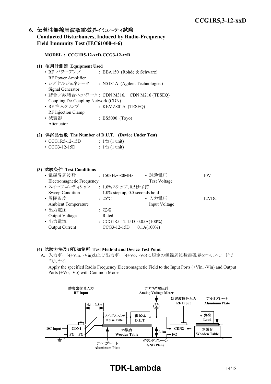# **6.** 伝導性無線周波数電磁界イミュニティ試験 **Conducted Disturbances, Induced by Radio-Frequency Field Immunity Test (IEC61000-4-6)**

# **MODEL : CCG1R5-12-xxD,CCG3-12-xxD**

## **(1)** 使用計測器 **Equipment Used**

• RF パワーアンプ : BBA150 (Rohde & Schwarz) RF Power Amplifier • シグナルジェネレータ : N5181A (Agilent Technologies) Signal Generator • 結合/減結合ネットワーク: CDN M316, CDN M216 (TESEQ) Coupling De-Coupling Network (CDN) • RF 注入クランプ : KEMZ801A (TESEQ) RF Injection Clamp • 減衰器 : BS5000 (Toyo) Attenuator

## **(2)** 供試品台数 **The Number of D.U.T. (Device Under Test)**

| • $CCG1R5-12-15D$ | : $1 \oplus (1 \text{ unit})$ |
|-------------------|-------------------------------|
|                   |                               |

• CCG3-12-15D :  $1 \oplus (1 \text{ unit})$ 

#### **(3)** 試験条件 **Test Conditions**

| • 電磁界周波数                         | $: 150kHz \sim 80MHz$             | • 試験電圧              | :10V    |
|----------------------------------|-----------------------------------|---------------------|---------|
| <b>Electromagnetic Frequency</b> |                                   | <b>Test Voltage</b> |         |
| • スイープコンディション                    | : 1.0%ステップ, 0.5秒保持                |                     |         |
| Sweep Condition                  | $1.0\%$ step up, 0.5 seconds hold |                     |         |
| • 周囲温度                           | $: 25^{\circ}C$                   | • 入力電圧              | : 12VDC |
| <b>Ambient Temperature</b>       |                                   | Input Voltage       |         |
| • 出力電圧                           | : 定格                              |                     |         |
| Output Voltage                   | Rated                             |                     |         |
| • 出力電流                           | : $CCG1R5-12-15D$ $0.05A(100%)$   |                     |         |
| Output Current                   | CCG3-12-15D                       | $0.1A(100\%)$       |         |

#### **(4)** 試験方法及び印加箇所 **Test Method and Device Test Point**

A. 入力ポート(+Vin、-Vin)および出力ポート(+Vo、-Vo)に規定の無線周波数電磁界をコモンモードで 印加する

Apply the specified Radio Frequency Electromagnetic Field to the Input Ports (+Vin, -Vin) and Output Ports (+Vo, -Vo) with Common Mode.



# **TDK-Lambda** 14/18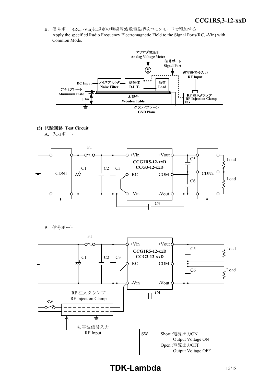*INSTRUCTION MANUAL* B. 信号ポート(RC, -Vin)に規定の無線周波数電磁界をコモンモードで印加する Apply the specified Radio Frequency Electromagnetic Field to the Signal Ports(RC, -Vin) with Common Mode.



**(5)** 試験回路 **Test Circuit**

A. 入力ポート



B. 信号ポート

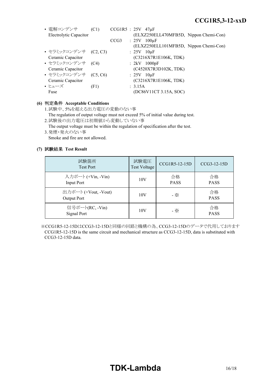| • 電解コンデンサ              | (C1) |  | $CCG1R5 : 25V 47\mu F$                 |
|------------------------|------|--|----------------------------------------|
| Electrolytic Capacitor |      |  | (ELXZ250ELL470MFB5D, Nippon Chemi-Con) |
|                        |      |  | $CCG3$ : 25V 100 $\mu$ F               |
|                        |      |  | (ELXZ250ELL101MFB5D, Nippon Chemi-Con) |
| • セラミックコンデンサ (C2, C3)  |      |  | $: 25V$ 10 $\mu$ F                     |
| Ceramic Capacitor      |      |  | (C3216X7R1E106K, TDK)                  |
| • セラミックコンデンサ (C4)      |      |  | $: 2kV$ 1000pF                         |
| Ceramic Capacitor      |      |  | (C4520X7R3D102K, TDK)                  |
| • セラミックコンデンサ (C5, C6)  |      |  | $: 25V$ 10 $\mu$ F                     |
| Ceramic Capacitor      |      |  | (C3216X7R1E106K, TDK)                  |
| • ヒューズ                 | (F1) |  | : 3.15A                                |
| Fuse                   |      |  | (DC86V11CT 3.15A, SOC)                 |

# **(6)** 判定条件 **Acceptable Conditions**

1.試験中、5%を超える出力電圧の変動のない事

The regulation of output voltage must not exceed 5% of initial value during test. 2.試験後の出力電圧は初期値から変動していない事

The output voltage must be within the regulation of specification after the test. 3.発煙・発火のない事

Smoke and fire are not allowed.

# **(7)** 試験結果 **Test Result**

| 試験箇所<br><b>Test Port</b>                | 試験電圧<br><b>Test Voltage</b> | CCG1R5-12-15D     | $CCG3-12-15D$     |
|-----------------------------------------|-----------------------------|-------------------|-------------------|
| 入力ポート (+Vin, -Vin)<br><b>Input Port</b> | 10V                         | 合格<br><b>PASS</b> | 合格<br><b>PASS</b> |
| 出力ポート (+Vout, -Vout)<br>Output Port     | 10V                         | - ※               | 合格<br><b>PASS</b> |
| 信号ポート(RC, -Vin)<br>Signal Port          | 10V                         | - ※               | 合格<br><b>PASS</b> |

※CCG1R5-12-15DはCCG3-12-15Dと同様の回路と機構の為、CCG3-12-15Dのデータで代用しております CCG1R5-12-15D is the same circuit and mechanical structure as CCG3-12-15D, data is substituted with CCG3-12-15D data.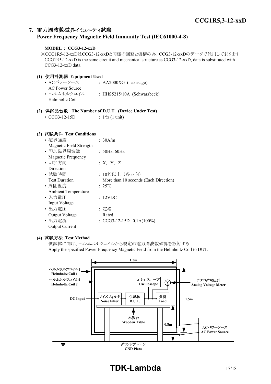# **7.** 電力周波数磁界イミュニティ試験 **Power Frequency Magnetic Field Immunity Test (IEC61000-4-8)**

# **MODEL : CCG3-12-xxD**

※CCG1R5-12-xxDはCCG3-12-xxDと同様の回路と機構の為、CCG3-12-xxDのデータで代用しております CCG1R5-12-xxD is the same circuit and mechanical structure as CCG3-12-xxD, data is substituted with CCG3-12-xxD data.

# **(1)** 使用計測器 **Equipment Used**

• ACパワーソース : AA2000XG (Takasago) AC Power Source • ヘルムホルツコイル : HHS5215/10A (Schwarzbeck) Helmholtz Coil

# **(2)** 供試品台数 **The Number of D.U.T. (Device Under Test)**

• CCG3-12-15D :  $1 \oplus (1 \text{ unit})$ 

# **(3)** 試験条件 **Test Conditions**

| • 磁界強度                     | : 30A/m                               |
|----------------------------|---------------------------------------|
| Magnetic Field Strength    |                                       |
| • 印加磁界周波数                  | : 50Hz, 60Hz                          |
| Magnetic Frequency         |                                       |
| • 印加方向                     | : X, Y, Z                             |
| Direction                  |                                       |
| • 試験時間                     | : 10秒以上(各方向)                          |
| <b>Test Duration</b>       | More than 10 seconds (Each Direction) |
| • 周囲温度                     | $: 25^{\circ}C$                       |
| <b>Ambient Temperature</b> |                                       |
| • 入力電圧                     | : 12VDC                               |
| Input Voltage              |                                       |
| • 出力電圧                     | : 定格                                  |
| Output Voltage             | Rated                                 |
| • 出力電流                     | : $CCG3-12-15D$ $0.1A(100%)$          |
| <b>Output Current</b>      |                                       |

## **(4)** 試験方法 **Test Method**

供試体に向け、ヘルムホルツコイルから規定の電力周波数磁界を放射する Apply the specified Power Frequency Magnetic Field from the Helmholtz Coil to DUT.



# **TDK-Lambda** 17/18